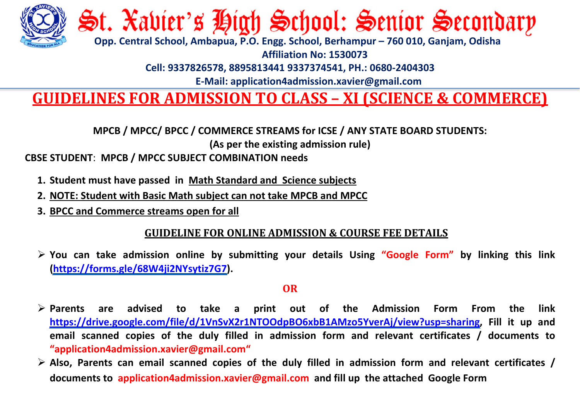

# St. Xavier's High School: Senior Secondary

 **Opp. Central School, Ambapua, P.O. Engg. School, Berhampur – 760 010, Ganjam, Odisha**

**Affiliation No: 1530073**

**Cell: 9337826578, 8895813441 9337374541, PH.: 0680-2404303**

 **E-Mail: application4admission.xavier@gmail.com**

### **GUIDELINES FOR ADMISSION TO CLASS – XI (SCIENCE & COMMERCE)**

**MPCB / MPCC/ BPCC / COMMERCE STREAMS for ICSE / ANY STATE BOARD STUDENTS:**

**(As per the existing admission rule)**

**CBSE STUDENT**: **MPCB / MPCC SUBJECT COMBINATION needs**

- **1. Student must have passed in Math Standard and Science subjects**
- **2. NOTE: Student with Basic Math subject can not take MPCB and MPCC**
- **3. BPCC and Commerce streams open for all**

#### **GUIDELINE FOR ONLINE ADMISSION & COURSE FEE DETAILS**

 **You can take admission online by submitting your details Using "Google Form" by linking this link [\(https://forms.gle/68W4ji2NYsytiz7G7\)](https://forms.gle/68W4ji2NYsytiz7G7).** 

#### **OR**

- **Parents are advised to take a print out of the Admission Form From the link [https://drive.google.com/file/d/1VnSvX2r1NTOOdpBO6xbB1AMzo5YverAj/view?usp=sharing,](https://drive.google.com/file/d/1VnSvX2r1NTOOdpBO6xbB1AMzo5YverAj/view?usp=sharing) Fill it up and email scanned copies of the duly filled in admission form and relevant certificates / documents to "application4admission.xavier@gmail.com"**
- **Also, Parents can email scanned copies of the duly filled in admission form and relevant certificates / documents to application4admission.xavier@gmail.com and fill up the attached Google Form**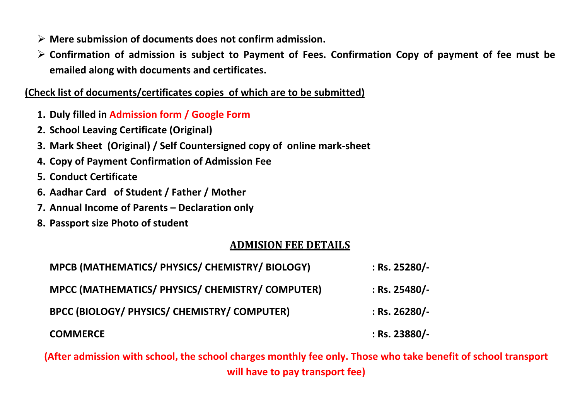- **Mere submission of documents does not confirm admission.**
- **Confirmation of admission is subject to Payment of Fees. Confirmation Copy of payment of fee must be emailed along with documents and certificates.**

**(Check list of documents/certificates copies of which are to be submitted)**

- **1. Duly filled in Admission form / Google Form**
- **2. School Leaving Certificate (Original)**
- **3. Mark Sheet (Original) / Self Countersigned copy of online mark-sheet**
- **4. Copy of Payment Confirmation of Admission Fee**
- **5. Conduct Certificate**
- **6. Aadhar Card of Student / Father / Mother**
- **7. Annual Income of Parents – Declaration only**
- **8. Passport size Photo of student**

#### **ADMISION FEE DETAILS**

| MPCB (MATHEMATICS/ PHYSICS/ CHEMISTRY/ BIOLOGY)  | : Rs. 25280/-   |
|--------------------------------------------------|-----------------|
| MPCC (MATHEMATICS/ PHYSICS/ CHEMISTRY/ COMPUTER) | $:$ Rs. 25480/- |
| BPCC (BIOLOGY/ PHYSICS/ CHEMISTRY/ COMPUTER)     | $:$ Rs. 26280/- |
| <b>COMMERCE</b>                                  | $:$ Rs. 23880/- |

**(After admission with school, the school charges monthly fee only. Those who take benefit of school transport will have to pay transport fee)**